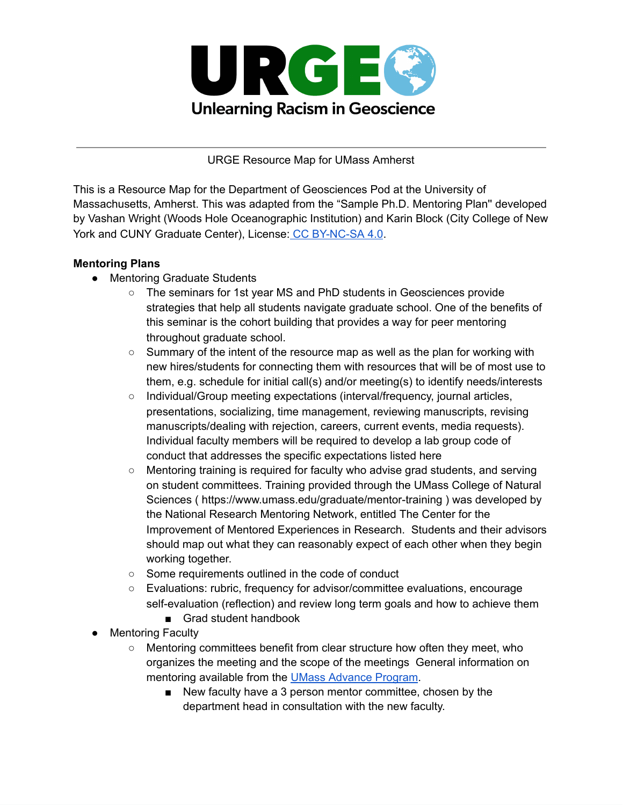

URGE Resource Map for UMass Amherst

This is a Resource Map for the Department of Geosciences Pod at the University of Massachusetts, Amherst. This was adapted from the "Sample Ph.D. Mentoring Plan'' developed by Vashan Wright (Woods Hole Oceanographic Institution) and Karin Block (City College of New York and CUNY Graduate Center), License: CC [BY-NC-SA](https://creativecommons.org/licenses/by-nc-sa/4.0/) 4.0.

### **Mentoring Plans**

- Mentoring Graduate Students
	- The seminars for 1st year MS and PhD students in Geosciences provide strategies that help all students navigate graduate school. One of the benefits of this seminar is the cohort building that provides a way for peer mentoring throughout graduate school.
	- Summary of the intent of the resource map as well as the plan for working with new hires/students for connecting them with resources that will be of most use to them, e.g. schedule for initial call(s) and/or meeting(s) to identify needs/interests
	- Individual/Group meeting expectations (interval/frequency, journal articles, presentations, socializing, time management, reviewing manuscripts, revising manuscripts/dealing with rejection, careers, current events, media requests). Individual faculty members will be required to develop a lab group code of conduct that addresses the specific expectations listed here
	- Mentoring training is required for faculty who advise grad students, and serving on student committees. Training provided through the UMass College of Natural Sciences ( https://www.umass.edu/graduate/mentor-training ) was developed by the National Research Mentoring Network, entitled The Center for the Improvement of Mentored Experiences in Research. Students and their advisors should map out what they can reasonably expect of each other when they begin working together.
	- Some requirements outlined in the code of conduct
	- Evaluations: rubric, frequency for advisor/committee evaluations, encourage self-evaluation (reflection) and review long term goals and how to achieve them
		- Grad student handbook
- **Mentoring Faculty** 
	- Mentoring committees benefit from clear structure how often they meet, who organizes the meeting and the scope of the meetings General information on mentoring available from the UMass [Advance](https://www.umass.edu/advance/faculty-mentoring) Program.
		- New faculty have a 3 person mentor committee, chosen by the department head in consultation with the new faculty.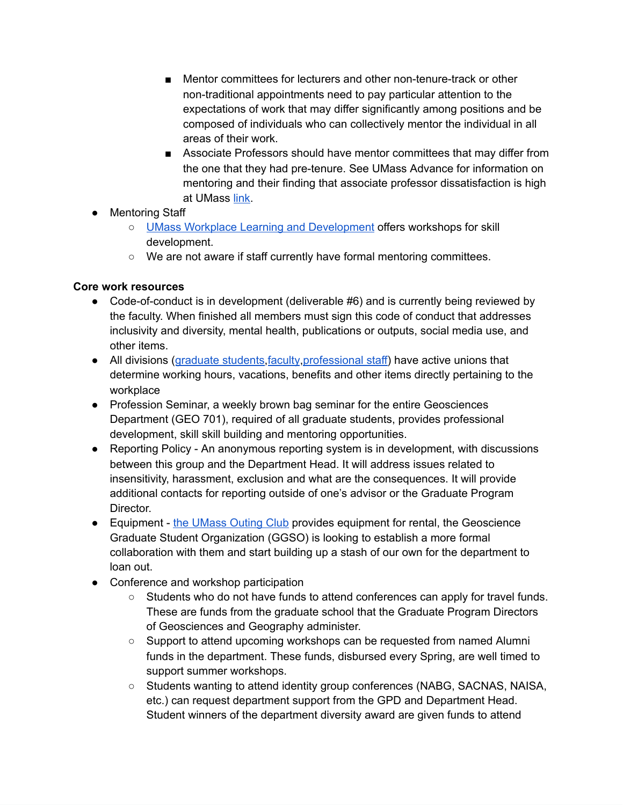- Mentor committees for lecturers and other non-tenure-track or other non-traditional appointments need to pay particular attention to the expectations of work that may differ significantly among positions and be composed of individuals who can collectively mentor the individual in all areas of their work.
- Associate Professors should have mentor committees that may differ from the one that they had pre-tenure. See UMass Advance for information on mentoring and their finding that associate professor dissatisfaction is high at UMass [link.](https://www.umass.edu/advance/faculty-mentoring)
- Mentoring Staff
	- UMass Workplace Learning and [Development](https://www.umass.edu/wld/) offers workshops for skill development.
	- We are not aware if staff currently have formal mentoring committees.

### **Core work resources**

- Code-of-conduct is in development (deliverable #6) and is currently being reviewed by the faculty. When finished all members must sign this code of conduct that addresses inclusivity and diversity, mental health, publications or outputs, social media use, and other items.
- All divisions [\(graduate](http://geouaw.org/) students, faculty, professional staff) have active unions that determine working hours, vacations, benefits and other items directly pertaining to the workplace
- Profession Seminar, a weekly brown bag seminar for the entire Geosciences Department (GEO 701), required of all graduate students, provides professional development, skill skill building and mentoring opportunities.
- Reporting Policy An anonymous reporting system is in development, with discussions between this group and the Department Head. It will address issues related to insensitivity, harassment, exclusion and what are the consequences. It will provide additional contacts for reporting outside of one's advisor or the Graduate Program Director.
- Equipment the [UMass](https://www.umass.edu/umoc/) Outing Club provides equipment for rental, the Geoscience Graduate Student Organization (GGSO) is looking to establish a more formal collaboration with them and start building up a stash of our own for the department to loan out.
- Conference and workshop participation
	- Students who do not have funds to attend conferences can apply for travel funds. These are funds from the graduate school that the Graduate Program Directors of Geosciences and Geography administer.
	- Support to attend upcoming workshops can be requested from named Alumni funds in the department. These funds, disbursed every Spring, are well timed to support summer workshops.
	- Students wanting to attend identity group conferences (NABG, SACNAS, NAISA, etc.) can request department support from the GPD and Department Head. Student winners of the department diversity award are given funds to attend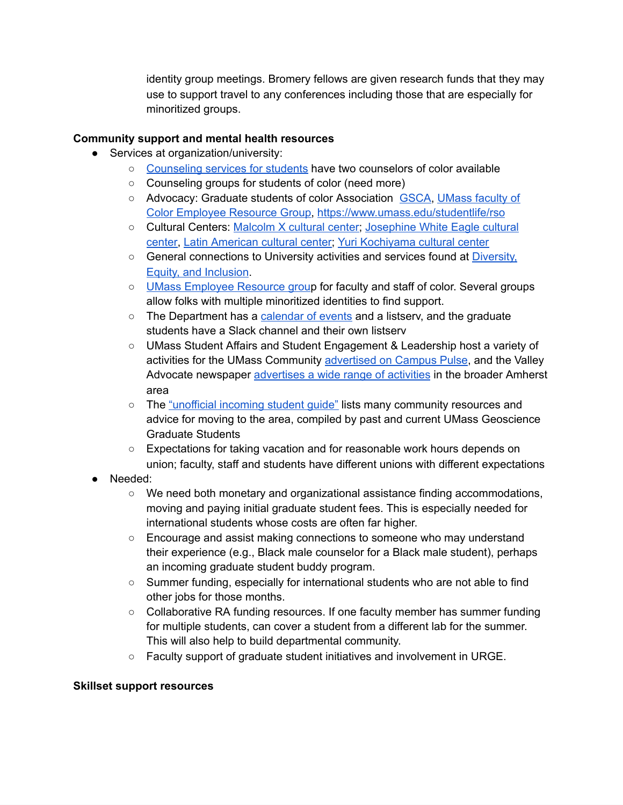identity group meetings. Bromery fellows are given research funds that they may use to support travel to any conferences including those that are especially for minoritized groups.

## **Community support and mental health resources**

- Services at organization/university:
	- [Counseling](https://www.umass.edu/counseling/) services for students have two counselors of color available
	- Counseling groups for students of color (need more)
	- Advocacy: Graduate students of color Association [GSCA,](https://umassamherst.campuslabs.com/engage/organization/GSCA) [UMass](https://www.umass.edu/diversity/employee-resource-groups) faculty of Color [Employee](https://www.umass.edu/diversity/employee-resource-groups) Resource Group, <https://www.umass.edu/studentlife/rso>
	- Cultural Centers: [Malcolm](https://www.umass.edu/cmass/get-involved/multicultural/mxcc) X cultural center; [Josephine](https://www.umass.edu/cmass/get-involved/multicultural/jwecc) White Eagle cultural [center,](https://www.umass.edu/cmass/get-involved/multicultural/jwecc) Latin [American](https://www.umass.edu/cmass/get-involved/multicultural/mxcc) cultural center; Yuri [Kochiyama](https://www.umass.edu/cmass/get-involved/multicultural/ykcc) cultural center
	- General connections to University activities and services found at [Diversity,](https://www.umass.edu/diversity/) Equity, and [Inclusion](https://www.umass.edu/diversity/).
	- UMass [Employee](https://www.umass.edu/diversity/employee-resource-groups) Resource group for faculty and staff of color. Several groups allow folks with multiple minoritized identities to find support.
	- The Department has a [calendar](https://www.geo.umass.edu/calendar-node-field-date) of events and a listsery, and the graduate students have a Slack channel and their own listserv
	- UMass Student Affairs and Student Engagement & Leadership host a variety of activities for the UMass Community [advertised](https://umassamherst.campuslabs.com/engage/events) on Campus Pulse, and the Valley Advocate newspaper [advertises](https://valleyadvocate.com/events/#!/) a wide range of activities in the broader Amherst area
	- The ["unofficial](https://docs.google.com/document/d/1i66qotYhyysAXc9wijH_pXc2KyGUXtcdlwItlPtzv1E/edit) incoming student guide" lists many community resources and advice for moving to the area, compiled by past and current UMass Geoscience Graduate Students
	- Expectations for taking vacation and for reasonable work hours depends on union; faculty, staff and students have different unions with different expectations
- Needed:
	- We need both monetary and organizational assistance finding accommodations, moving and paying initial graduate student fees. This is especially needed for international students whose costs are often far higher.
	- Encourage and assist making connections to someone who may understand their experience (e.g., Black male counselor for a Black male student), perhaps an incoming graduate student buddy program.
	- Summer funding, especially for international students who are not able to find other jobs for those months.
	- $\circ$  Collaborative RA funding resources. If one faculty member has summer funding for multiple students, can cover a student from a different lab for the summer. This will also help to build departmental community.
	- Faculty support of graduate student initiatives and involvement in URGE.

#### **Skillset support resources**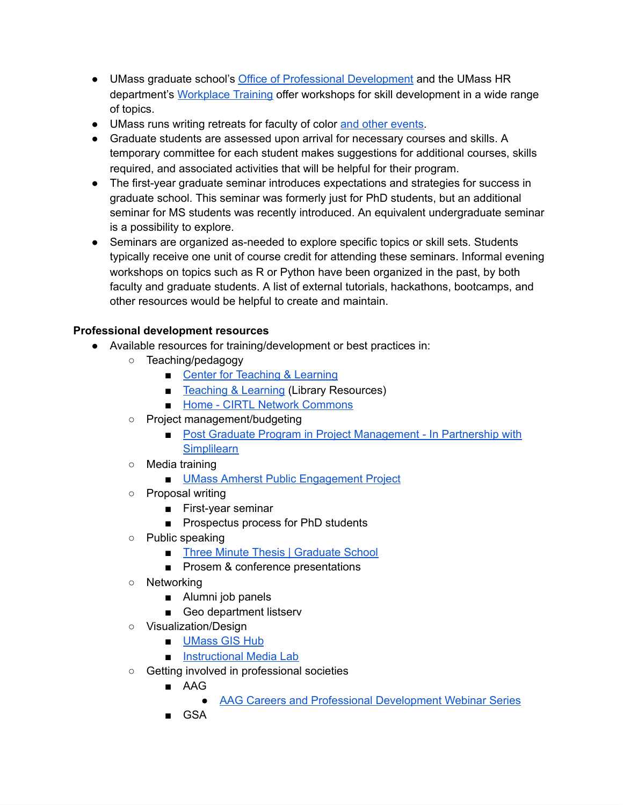- UMass graduate school's Office of Professional [Development](https://www.umass.edu/graduate/professional-development) and the UMass HR department's [Workplace](https://www.umass.edu/wld/) Training offer workshops for skill development in a wide range of topics.
- UMass runs writing retreats for faculty of color and other [events](https://www.umass.edu/diversity/faculty-color-community-events).
- Graduate students are assessed upon arrival for necessary courses and skills. A temporary committee for each student makes suggestions for additional courses, skills required, and associated activities that will be helpful for their program.
- The first-year graduate seminar introduces expectations and strategies for success in graduate school. This seminar was formerly just for PhD students, but an additional seminar for MS students was recently introduced. An equivalent undergraduate seminar is a possibility to explore.
- Seminars are organized as-needed to explore specific topics or skill sets. Students typically receive one unit of course credit for attending these seminars. Informal evening workshops on topics such as R or Python have been organized in the past, by both faculty and graduate students. A list of external tutorials, hackathons, bootcamps, and other resources would be helpful to create and maintain.

### **Professional development resources**

- Available resources for training/development or best practices in:
	- Teaching/pedagogy
		- Center for [Teaching](https://www.umass.edu/ctl/home) & Learning
		- [Teaching](https://www.library.umass.edu/teaching-and-learning/) & Learning (Library Resources)
		- Home CIRTL Network [Commons](https://www.cirtl.net/)
	- Project management/budgeting
		- Post Graduate Program in Project [Management](https://www.isenberg.umass.edu/Programs/Masters/mba/online/simplilearn/project-management) In Partnership with **[Simplilearn](https://www.isenberg.umass.edu/Programs/Masters/mba/online/simplilearn/project-management)**
	- Media training
		- UMass Amherst Public [Engagement](https://www.umass.edu/pep/) Project
	- Proposal writing
		- First-year seminar
		- Prospectus process for PhD students
	- Public speaking
		- Three Minute Thesis | [Graduate](https://www.umass.edu/graduate/professional-development/three-minute-thesis) School
		- Prosem & conference presentations
	- Networking
		- Alumni job panels
		- Geo department listserv
	- Visualization/Design
		- [UMass](https://gis.library.umass.edu/) GIS Hub
		- [Instructional](https://www.umass.edu/it/instruct/iml) Media Lab
	- Getting involved in professional societies
		- AAG
			- AAG Careers and Professional [Development](http://www.aag.org/cs/careerwebinars) Webinar Series
		- GSA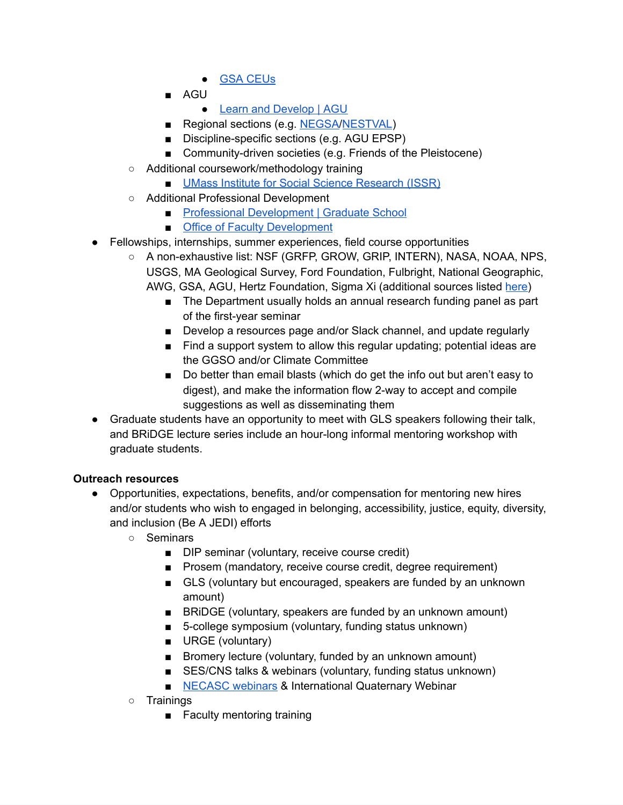- GSA [CEUs](https://www.geosociety.org/GSA/Education_Careers/GSA/edu-career/ceu.aspx)
- AGU
	- Learn and [Develop](https://www.agu.org/Learn-and-Develop/Learn) | AGU
- Regional sections (e.g. [NEGSA/](https://www.geosociety.org/GSA/Events/Section_Meetings/GSA/Sections/ne/2021mtg/home.aspx)[NESTVAL\)](http://aagnestval.wpengine.com/)
- Discipline-specific sections (e.g. AGU EPSP)
- Community-driven societies (e.g. Friends of the Pleistocene)
- Additional coursework/methodology training
	- UMass Institute for Social Science [Research](https://www.umass.edu/issr/) (ISSR)
- Additional Professional Development
	- Professional [Development](https://www.umass.edu/graduate/professional-development) | Graduate School
	- Office of Faculty [Development](https://www.umass.edu/faculty-development/)
- Fellowships, internships, summer experiences, field course opportunities
	- A non-exhaustive list: NSF (GRFP, GROW, GRIP, INTERN), NASA, NOAA, NPS, USGS, MA Geological Survey, Ford Foundation, Fulbright, National Geographic, AWG, GSA, AGU, Hertz Foundation, Sigma Xi (additional sources listed [here\)](https://docs.google.com/document/d/1-oeNKQAdGqFMKYtJHsZxRzPP4_OFoxWrKLtrGOBCKXA/edit)
		- The Department usually holds an annual research funding panel as part of the first-year seminar
		- Develop a resources page and/or Slack channel, and update regularly
		- Find a support system to allow this regular updating; potential ideas are the GGSO and/or Climate Committee
		- Do better than email blasts (which do get the info out but aren't easy to digest), and make the information flow 2-way to accept and compile suggestions as well as disseminating them
- Graduate students have an opportunity to meet with GLS speakers following their talk, and BRiDGE lecture series include an hour-long informal mentoring workshop with graduate students.

# **Outreach resources**

- Opportunities, expectations, benefits, and/or compensation for mentoring new hires and/or students who wish to engaged in belonging, accessibility, justice, equity, diversity, and inclusion (Be A JEDI) efforts
	- Seminars
		- DIP seminar (voluntary, receive course credit)
		- Prosem (mandatory, receive course credit, degree requirement)
		- GLS (voluntary but encouraged, speakers are funded by an unknown amount)
		- BRIDGE (voluntary, speakers are funded by an unknown amount)
		- 5-college symposium (voluntary, funding status unknown)
		- URGE (voluntary)
		- Bromery lecture (voluntary, funded by an unknown amount)
		- SES/CNS talks & webinars (voluntary, funding status unknown)
		- [NECASC](https://necsc.umass.edu/webinars) webinars & International Quaternary Webinar
	- Trainings
		- Faculty mentoring training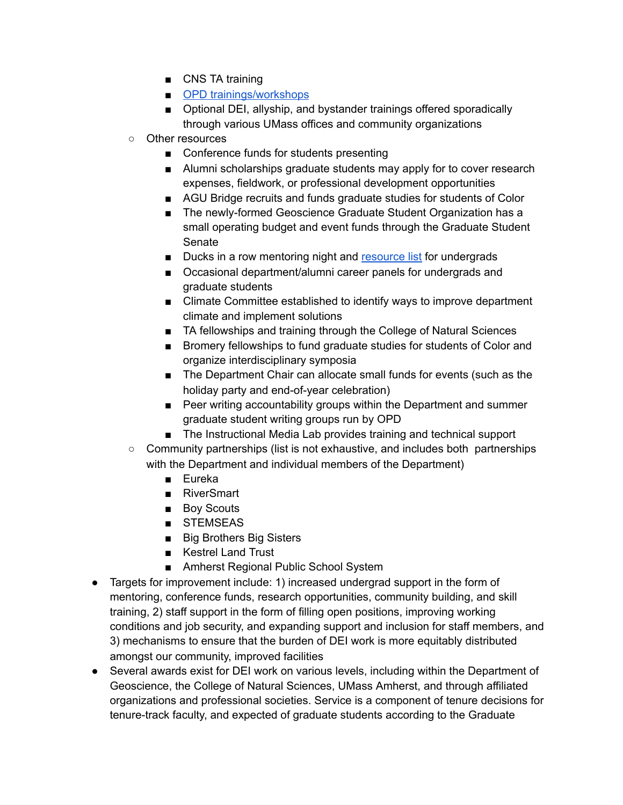- CNS TA training
- OPD [trainings/workshops](https://www.umass.edu/graduate/professional-development)
- Optional DEI, allyship, and bystander trainings offered sporadically through various UMass offices and community organizations
- Other resources
	- Conference funds for students presenting
	- Alumni scholarships graduate students may apply for to cover research expenses, fieldwork, or professional development opportunities
	- AGU Bridge recruits and funds graduate studies for students of Color
	- The newly-formed Geoscience Graduate Student Organization has a small operating budget and event funds through the Graduate Student Senate
	- Ducks in a row mentoring night and [resource](https://docs.google.com/document/d/1OhU84tI1bJeiqygt9F4JrZqub1ejQQCuhdOG8Frh5Wg/edit) list for undergrads
	- Occasional department/alumni career panels for undergrads and graduate students
	- Climate Committee established to identify ways to improve department climate and implement solutions
	- TA fellowships and training through the College of Natural Sciences
	- Bromery fellowships to fund graduate studies for students of Color and organize interdisciplinary symposia
	- The Department Chair can allocate small funds for events (such as the holiday party and end-of-year celebration)
	- Peer writing accountability groups within the Department and summer graduate student writing groups run by OPD
	- The Instructional Media Lab provides training and technical support
- Community partnerships (list is not exhaustive, and includes both partnerships with the Department and individual members of the Department)
	- Eureka
	- RiverSmart
	- Boy Scouts
	- STEMSEAS
	- Big Brothers Big Sisters
	- Kestrel Land Trust
	- Amherst Regional Public School System
- Targets for improvement include: 1) increased undergrad support in the form of mentoring, conference funds, research opportunities, community building, and skill training, 2) staff support in the form of filling open positions, improving working conditions and job security, and expanding support and inclusion for staff members, and 3) mechanisms to ensure that the burden of DEI work is more equitably distributed amongst our community, improved facilities
- Several awards exist for DEI work on various levels, including within the Department of Geoscience, the College of Natural Sciences, UMass Amherst, and through affiliated organizations and professional societies. Service is a component of tenure decisions for tenure-track faculty, and expected of graduate students according to the Graduate